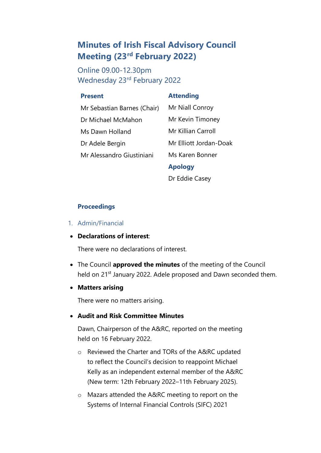# **Minutes of Irish Fiscal Advisory Council Meeting (23rd February 2022)**

Online 09.00-12.30pm Wednesday 23rd February 2022

#### **Present**

### **Attending**

• Mr Sebastian Barnes (Chair) • Dr Michael McMahon • Ms Dawn Holland Dr Adele Bergin • Mr Alessandro Giustiniani

Mr Niall Conroy Mr Kevin Timoney • Mr Killian Carroll • Mr Elliott Jordan-Doak • Ms Karen Bonner

## • **Apology**

Dr Eddie Casey

## **Proceedings**

### 1. Admin/Financial

• **Declarations of interest**:

There were no declarations of interest.

- The Council **approved the minutes** of the meeting of the Council held on 21<sup>st</sup> January 2022. Adele proposed and Dawn seconded them.
- **Matters arising**

There were no matters arising.

## • **Audit and Risk Committee Minutes**

Dawn, Chairperson of the A&RC, reported on the meeting held on 16 February 2022.

- o Reviewed the Charter and TORs of the A&RC updated to reflect the Council's decision to reappoint Michael Kelly as an independent external member of the A&RC (New term: 12th February 2022–11th February 2025).
- o Mazars attended the A&RC meeting to report on the Systems of Internal Financial Controls (SIFC) 2021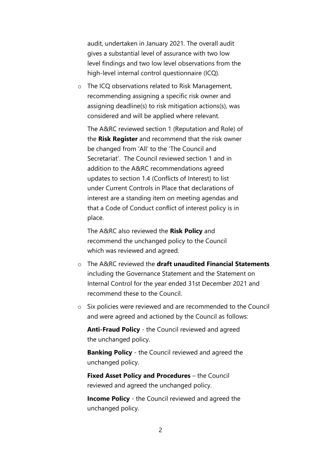audit, undertaken in January 2021. The overall audit gives a substantial level of assurance with two low level findings and two low level observations from the high-level internal control questionnaire (ICQ).

o The ICQ observations related to Risk Management, recommending assigning a specific risk owner and assigning deadline(s) to risk mitigation actions(s), was considered and will be applied where relevant.

The A&RC reviewed section 1 (Reputation and Role) of the **Risk Register** and recommend that the risk owner be changed from 'All' to the 'The Council and Secretariat'. The Council reviewed section 1 and in addition to the A&RC recommendations agreed updates to section 1.4 (Conflicts of Interest) to list under Current Controls in Place that declarations of interest are a standing item on meeting agendas and that a Code of Conduct conflict of interest policy is in place.

The A&RC also reviewed the **Risk Policy** and recommend the unchanged policy to the Council which was reviewed and agreed.

- o The A&RC reviewed the **draft unaudited Financial Statements** including the Governance Statement and the Statement on Internal Control for the year ended 31st December 2021 and recommend these to the Council.
- o Six policies were reviewed and are recommended to the Council and were agreed and actioned by the Council as follows:

**Anti-Fraud Policy** - the Council reviewed and agreed the unchanged policy.

**Banking Policy** - the Council reviewed and agreed the unchanged policy.

**Fixed Asset Policy and Procedures** – the Council reviewed and agreed the unchanged policy.

**Income Policy** - the Council reviewed and agreed the unchanged policy.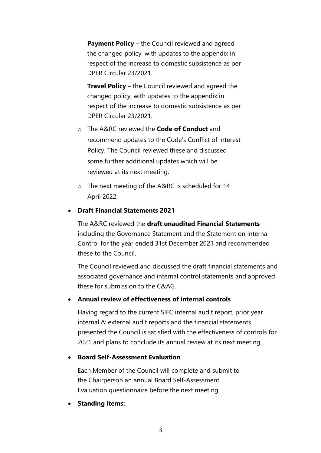**Payment Policy** – the Council reviewed and agreed the changed policy, with updates to the appendix in respect of the increase to domestic subsistence as per DPER Circular 23/2021.

**Travel Policy** – the Council reviewed and agreed the changed policy, with updates to the appendix in respect of the increase to domestic subsistence as per DPER Circular 23/2021.

- o The A&RC reviewed the **Code of Conduct** and recommend updates to the Code's Conflict of Interest Policy. The Council reviewed these and discussed some further additional updates which will be reviewed at its next meeting.
- o The next meeting of the A&RC is scheduled for 14 April 2022.

# • **Draft Financial Statements 2021**

The A&RC reviewed the **draft unaudited Financial Statements** including the Governance Statement and the Statement on Internal Control for the year ended 31st December 2021 and recommended these to the Council.

The Council reviewed and discussed the draft financial statements and associated governance and internal control statements and approved these for submission to the C&AG.

## • **Annual review of effectiveness of internal controls**

Having regard to the current SIFC internal audit report, prior year internal & external audit reports and the financial statements presented the Council is satisfied with the effectiveness of controls for 2021 and plans to conclude its annual review at its next meeting.

## • **Board Self-Assessment Evaluation**

Each Member of the Council will complete and submit to the Chairperson an annual Board Self-Assessment Evaluation questionnaire before the next meeting.

• **Standing items:**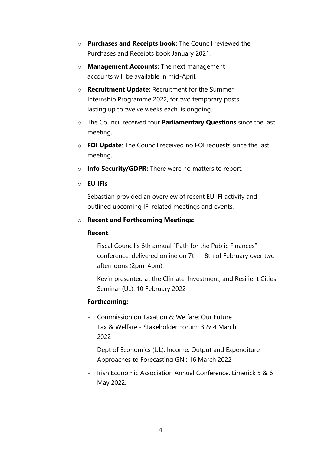- o **Purchases and Receipts book:** The Council reviewed the Purchases and Receipts book January 2021.
- o **Management Accounts:** The next management accounts will be available in mid-April.
- o **Recruitment Update:** Recruitment for the Summer Internship Programme 2022, for two temporary posts lasting up to twelve weeks each, is ongoing.
- o The Council received four **Parliamentary Questions** since the last meeting.
- o **FOI Update**: The Council received no FOI requests since the last meeting.
- o **Info Security/GDPR:** There were no matters to report.
- o **EU IFIs**

Sebastian provided an overview of recent EU IFI activity and outlined upcoming IFI related meetings and events.

# o **Recent and Forthcoming Meetings:**

## **Recent**:

- Fiscal Council's 6th annual "Path for the Public Finances" conference: delivered online on 7th – 8th of February over two afternoons (2pm–4pm).
- Kevin presented at the Climate, Investment, and Resilient Cities Seminar (UL): 10 February 2022

# **Forthcoming:**

- Commission on Taxation & Welfare: Our Future Tax & Welfare - Stakeholder Forum: 3 & 4 March 2022
- Dept of Economics (UL): Income, Output and Expenditure Approaches to Forecasting GNI: 16 March 2022
- Irish Economic Association Annual Conference. Limerick 5 & 6 May 2022.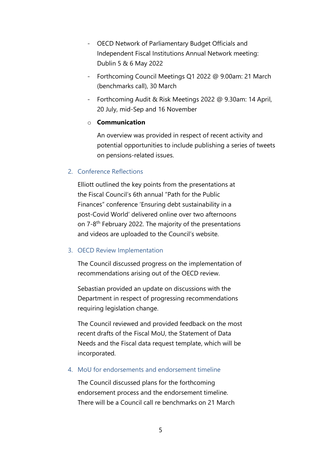- OECD Network of Parliamentary Budget Officials and Independent Fiscal Institutions Annual Network meeting: Dublin 5 & 6 May 2022
- Forthcoming Council Meetings Q1 2022 @ 9.00am: 21 March (benchmarks call), 30 March
- Forthcoming Audit & Risk Meetings 2022 @ 9.30am: 14 April, 20 July, mid-Sep and 16 November

## o **Communication**

An overview was provided in respect of recent activity and potential opportunities to include publishing a series of tweets on pensions-related issues.

## 2. Conference Reflections

Elliott outlined the key points from the presentations at the Fiscal Council's 6th annual "Path for the Public Finances" conference 'Ensuring debt sustainability in a post-Covid World' delivered online over two afternoons on 7-8<sup>th</sup> February 2022. The majority of the presentations and videos are uploaded to the Council's website.

## 3. OECD Review Implementation

The Council discussed progress on the implementation of recommendations arising out of the OECD review.

Sebastian provided an update on discussions with the Department in respect of progressing recommendations requiring legislation change.

The Council reviewed and provided feedback on the most recent drafts of the Fiscal MoU, the Statement of Data Needs and the Fiscal data request template, which will be incorporated.

## 4. MoU for endorsements and endorsement timeline

The Council discussed plans for the forthcoming endorsement process and the endorsement timeline. There will be a Council call re benchmarks on 21 March